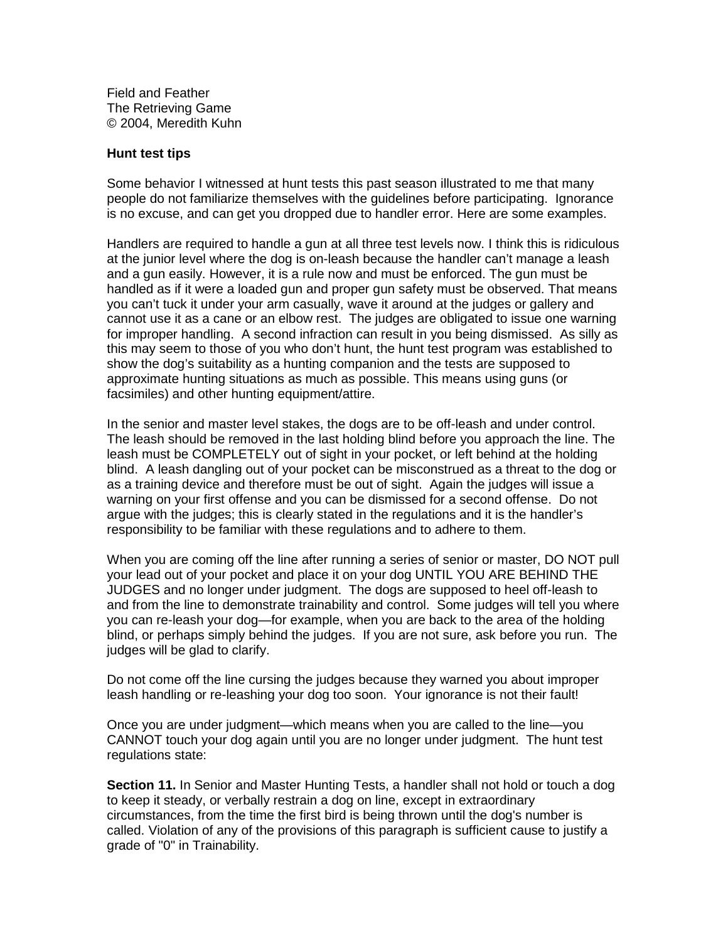Field and Feather The Retrieving Game © 2004, Meredith Kuhn

## **Hunt test tips**

Some behavior I witnessed at hunt tests this past season illustrated to me that many people do not familiarize themselves with the guidelines before participating. Ignorance is no excuse, and can get you dropped due to handler error. Here are some examples.

Handlers are required to handle a gun at all three test levels now. I think this is ridiculous at the junior level where the dog is on-leash because the handler can't manage a leash and a gun easily. However, it is a rule now and must be enforced. The gun must be handled as if it were a loaded gun and proper gun safety must be observed. That means you can't tuck it under your arm casually, wave it around at the judges or gallery and cannot use it as a cane or an elbow rest. The judges are obligated to issue one warning for improper handling. A second infraction can result in you being dismissed. As silly as this may seem to those of you who don't hunt, the hunt test program was established to show the dog's suitability as a hunting companion and the tests are supposed to approximate hunting situations as much as possible. This means using guns (or facsimiles) and other hunting equipment/attire.

In the senior and master level stakes, the dogs are to be off-leash and under control. The leash should be removed in the last holding blind before you approach the line. The leash must be COMPLETELY out of sight in your pocket, or left behind at the holding blind. A leash dangling out of your pocket can be misconstrued as a threat to the dog or as a training device and therefore must be out of sight. Again the judges will issue a warning on your first offense and you can be dismissed for a second offense. Do not argue with the judges; this is clearly stated in the regulations and it is the handler's responsibility to be familiar with these regulations and to adhere to them.

When you are coming off the line after running a series of senior or master, DO NOT pull your lead out of your pocket and place it on your dog UNTIL YOU ARE BEHIND THE JUDGES and no longer under judgment. The dogs are supposed to heel off-leash to and from the line to demonstrate trainability and control. Some judges will tell you where you can re-leash your dog—for example, when you are back to the area of the holding blind, or perhaps simply behind the judges. If you are not sure, ask before you run. The judges will be glad to clarify.

Do not come off the line cursing the judges because they warned you about improper leash handling or re-leashing your dog too soon. Your ignorance is not their fault!

Once you are under judgment—which means when you are called to the line—you CANNOT touch your dog again until you are no longer under judgment. The hunt test regulations state:

**Section 11.** In Senior and Master Hunting Tests, a handler shall not hold or touch a dog to keep it steady, or verbally restrain a dog on line, except in extraordinary circumstances, from the time the first bird is being thrown until the dog's number is called. Violation of any of the provisions of this paragraph is sufficient cause to justify a grade of "0" in Trainability.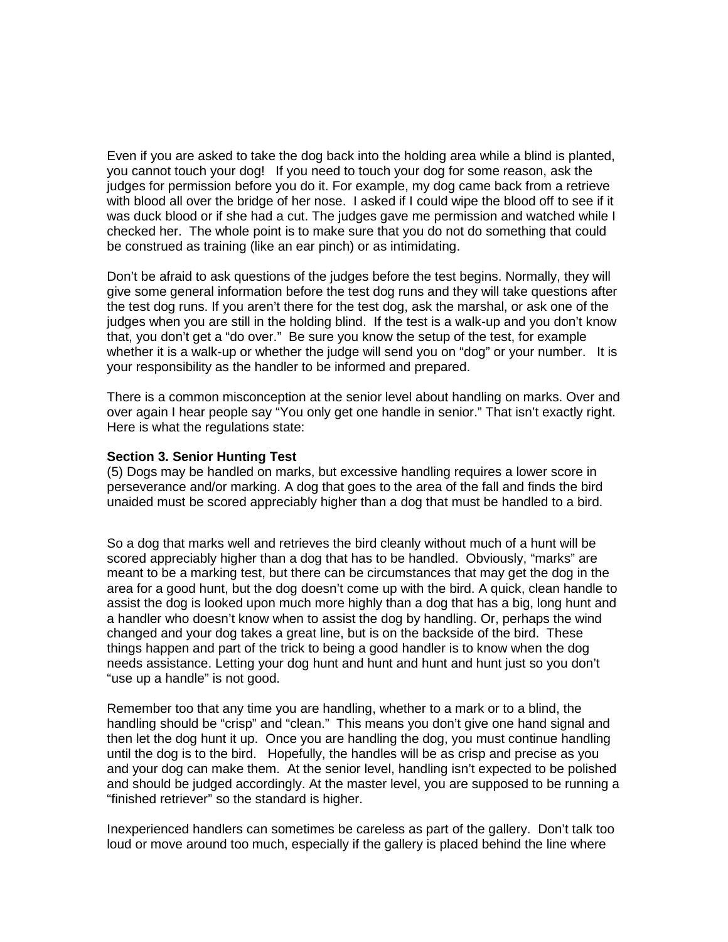Even if you are asked to take the dog back into the holding area while a blind is planted, you cannot touch your dog! If you need to touch your dog for some reason, ask the judges for permission before you do it. For example, my dog came back from a retrieve with blood all over the bridge of her nose. I asked if I could wipe the blood off to see if it was duck blood or if she had a cut. The judges gave me permission and watched while I checked her. The whole point is to make sure that you do not do something that could be construed as training (like an ear pinch) or as intimidating.

Don't be afraid to ask questions of the judges before the test begins. Normally, they will give some general information before the test dog runs and they will take questions after the test dog runs. If you aren't there for the test dog, ask the marshal, or ask one of the judges when you are still in the holding blind. If the test is a walk-up and you don't know that, you don't get a "do over." Be sure you know the setup of the test, for example whether it is a walk-up or whether the judge will send you on "dog" or your number. It is your responsibility as the handler to be informed and prepared.

There is a common misconception at the senior level about handling on marks. Over and over again I hear people say "You only get one handle in senior." That isn't exactly right. Here is what the regulations state:

## **Section 3. Senior Hunting Test**

(5) Dogs may be handled on marks, but excessive handling requires a lower score in perseverance and/or marking. A dog that goes to the area of the fall and finds the bird unaided must be scored appreciably higher than a dog that must be handled to a bird.

So a dog that marks well and retrieves the bird cleanly without much of a hunt will be scored appreciably higher than a dog that has to be handled. Obviously, "marks" are meant to be a marking test, but there can be circumstances that may get the dog in the area for a good hunt, but the dog doesn't come up with the bird. A quick, clean handle to assist the dog is looked upon much more highly than a dog that has a big, long hunt and a handler who doesn't know when to assist the dog by handling. Or, perhaps the wind changed and your dog takes a great line, but is on the backside of the bird. These things happen and part of the trick to being a good handler is to know when the dog needs assistance. Letting your dog hunt and hunt and hunt and hunt just so you don't "use up a handle" is not good.

Remember too that any time you are handling, whether to a mark or to a blind, the handling should be "crisp" and "clean." This means you don't give one hand signal and then let the dog hunt it up. Once you are handling the dog, you must continue handling until the dog is to the bird. Hopefully, the handles will be as crisp and precise as you and your dog can make them. At the senior level, handling isn't expected to be polished and should be judged accordingly. At the master level, you are supposed to be running a "finished retriever" so the standard is higher.

Inexperienced handlers can sometimes be careless as part of the gallery. Don't talk too loud or move around too much, especially if the gallery is placed behind the line where